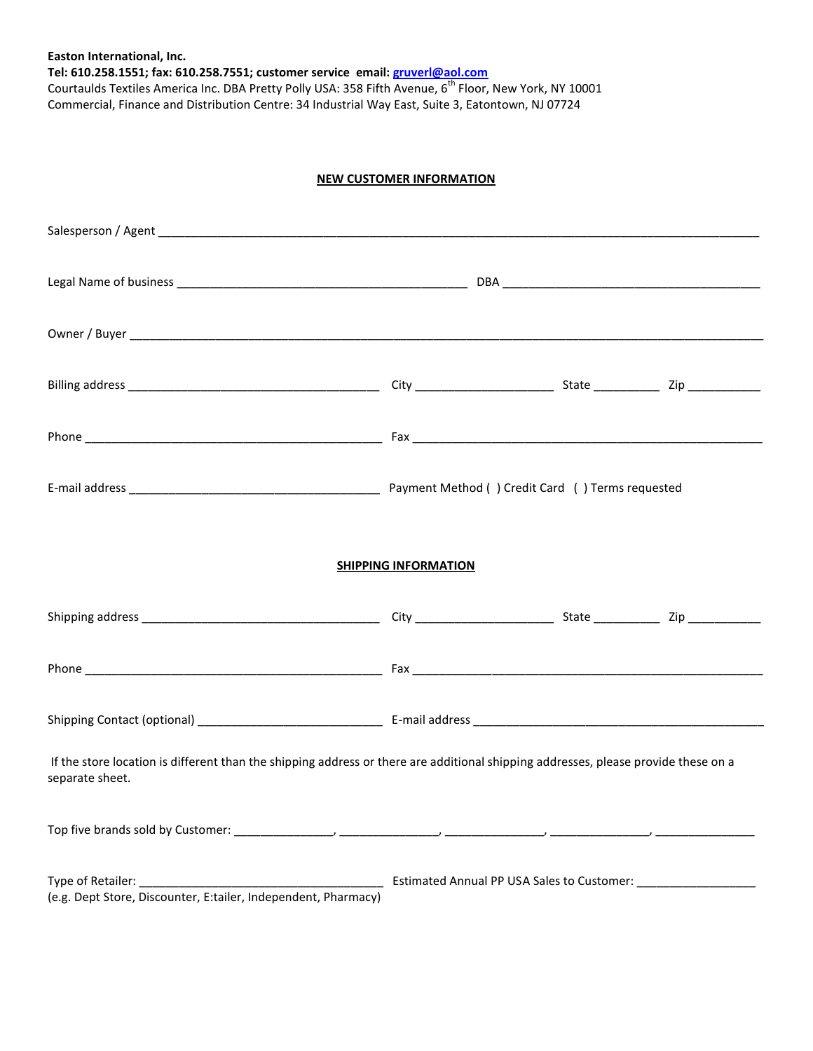**Easton International, Inc. Tel: 610.258.1551; fax: 610.258.7551; customer service email: [gruverl@aol.com](mailto:gruverl@aol.com)** Courtaulds Textiles America Inc. DBA Pretty Polly USA: 358 Fifth Avenue, 6<sup>th</sup> Floor, New York, NY 10001 Commercial, Finance and Distribution Centre: 34 Industrial Way East, Suite 3, Eatontown, NJ 07724

## **NEW CUSTOMER INFORMATION**

| <b>SHIPPING INFORMATION</b>                                                                                                                           |  |  |  |
|-------------------------------------------------------------------------------------------------------------------------------------------------------|--|--|--|
|                                                                                                                                                       |  |  |  |
|                                                                                                                                                       |  |  |  |
|                                                                                                                                                       |  |  |  |
| If the store location is different than the shipping address or there are additional shipping addresses, please provide these on a<br>separate sheet. |  |  |  |
|                                                                                                                                                       |  |  |  |
| (e.g. Dept Store, Discounter, E:tailer, Independent, Pharmacy)                                                                                        |  |  |  |